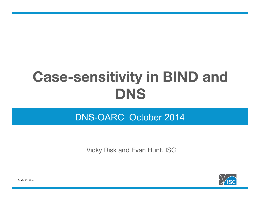# **Case-sensitivity in BIND and DNS**

#### DNS-OARC October 2014

Vicky Risk and Evan Hunt, ISC



© 2014 ISC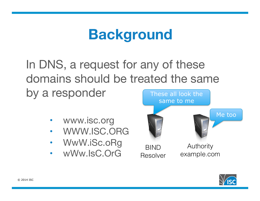#### **Background**

In DNS, a request for any of these domains should be treated the same by a responder These all look the

- www.isc.org
- WWW.ISC.ORG
- WwW.iSc.oRg
- wWw.IsC.OrG BIND



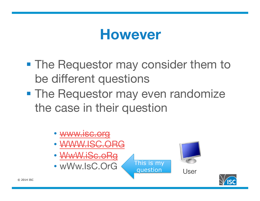#### **However**

- The Requestor may consider them to be different questions
- **The Requestor may even randomize** the case in their question



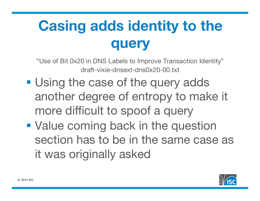# **Casing adds identity to the query**

"Use of Bit 0x20 in DNS Labels to Improve Transaction Identity" draft-vixie-dnsext-dns0x20-00.txt

- Using the case of the query adds another degree of entropy to make it more difficult to spoof a query
- Value coming back in the question section has to be in the same case as it was originally asked

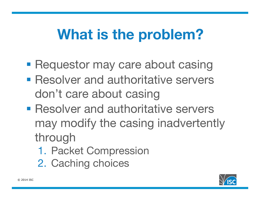## **What is the problem?**

- Requestor may care about casing
- Resolver and authoritative servers don't care about casing
- Resolver and authoritative servers may modify the casing inadvertently through
	- 1. Packet Compression
	- 2. Caching choices

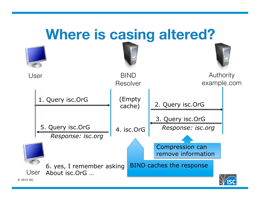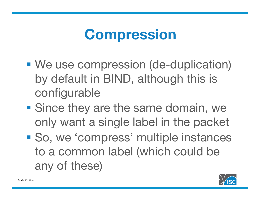## **Compression**

- We use compression (de-duplication) by default in BIND, although this is configurable
- Since they are the same domain, we only want a single label in the packet
- So, we 'compress' multiple instances to a common label (which could be any of these)

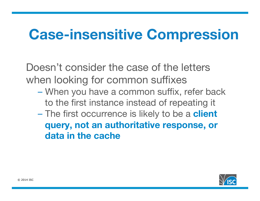## **Case-insensitive Compression**

Doesn't consider the case of the letters when looking for common suffixes

- When you have a common suffix, refer back to the first instance instead of repeating it
- The first occurrence is likely to be a **client query, not an authoritative response, or data in the cache**

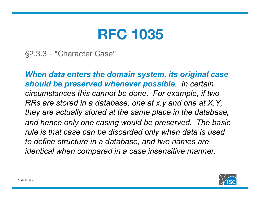#### **RFC 1035**

§2.3.3 - "Character Case"

*When data enters the domain system, its original case should be preserved whenever possible. In certain circumstances this cannot be done. For example, if two RRs are stored in a database, one at x.y and one at X.Y, they are actually stored at the same place in the database, and hence only one casing would be preserved. The basic rule is that case can be discarded only when data is used to define structure in a database, and two names are identical when compared in a case insensitive manner.* 

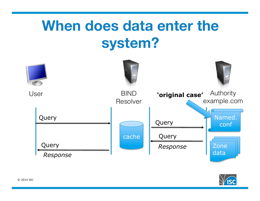## **When does data enter the system?**



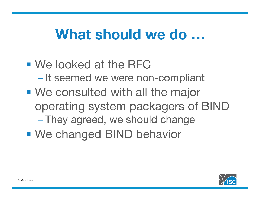#### **What should we do …**

■ We looked at the RFC – It seemed we were non-compliant ■ We consulted with all the major operating system packagers of BIND – They agreed, we should change ■ We changed BIND behavior

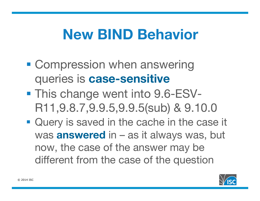## **New BIND Behavior**

- Compression when answering queries is **case-sensitive**
- This change went into 9.6-ESV-R11,9.8.7,9.9.5,9.9.5(sub) & 9.10.0
- Query is saved in the cache in the case it was **answered** in – as it always was, but now, the case of the answer may be different from the case of the question

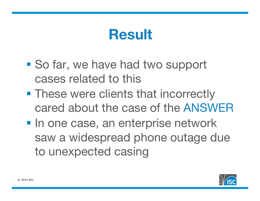## **Result**

- So far, we have had two support cases related to this
- These were clients that incorrectly cared about the case of the ANSWER
- **In one case, an enterprise network** saw a widespread phone outage due to unexpected casing

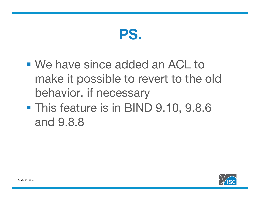

- We have since added an ACL to make it possible to revert to the old behavior, if necessary
- § This feature is in BIND 9.10, 9.8.6 and 9.8.8

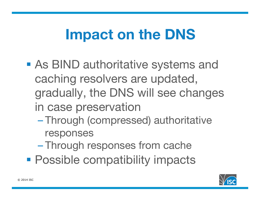## **Impact on the DNS**

- As BIND authoritative systems and caching resolvers are updated, gradually, the DNS will see changes in case preservation
	- Through (compressed) authoritative responses
	- Through responses from cache
- Possible compatibility impacts

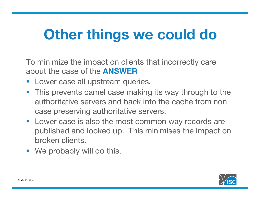## **Other things we could do**

To minimize the impact on clients that incorrectly care about the case of the **ANSWER**

- Lower case all upstream queries.
- This prevents camel case making its way through to the authoritative servers and back into the cache from non case preserving authoritative servers.
- Lower case is also the most common way records are published and looked up. This minimises the impact on broken clients.
- We probably will do this.

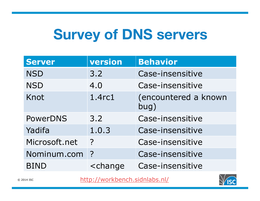# **Survey of DNS servers**

| <b>Server</b>   | version                                            | <b>Behavior</b>              |
|-----------------|----------------------------------------------------|------------------------------|
| <b>NSD</b>      | 3.2                                                | Case-insensitive             |
| <b>NSD</b>      | 4.0                                                | Case-insensitive             |
| Knot            | 1.4rc1                                             | (encountered a known<br>bug) |
| <b>PowerDNS</b> | 3.2                                                | Case-insensitive             |
| Yadifa          | 1.0.3                                              | Case-insensitive             |
| Microsoft.net   | $\overline{?}$                                     | Case-insensitive             |
| Nominum.com     | $\overline{P}$                                     | Case-insensitive             |
| <b>BIND</b>     | <change< td=""><td>Case-insensitive</td></change<> | Case-insensitive             |

http://workbench.sidnlabs.nl/